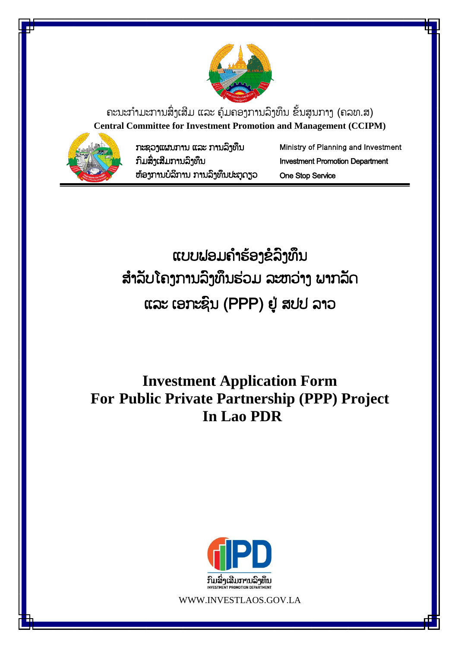

ຄະນະກຳມະການສິ່ງເສີມ ແລະ ຄຸ້ມຄອງການລິງທຶນ ຂັ້ນສູນກາງ (ຄລທ.ສ) **Central Committee for Investment Promotion and Management (CCIPM)**



ກະຊວງແຜນກຳນ ແລະ ກຳນລົງທຶນ ກົມສົົ່ງເສີມກຳນລົງທຶນ ຫຸ້ອງກຳນບໍລິກຳນ ກຳນລົງທຶນປະຕູດຽວ Ministry of Planning and Investment Investment Promotion Department One Stop Service

ແບບຟອມຄຳຮ້ອງຂໍລິງທຶນ ສຳລັບໂຄງການລິງທຶນຮ່ວມ ລະຫວ່າງ ພາກລັດ ແລະ ເອກະຊົນ (PPP) ຢູູ່ ສປປ ລຳວ

**Investment Application Form For Public Private Partnership (PPP) Project In Lao PDR**



WWW.INVESTLAOS.GOV.LA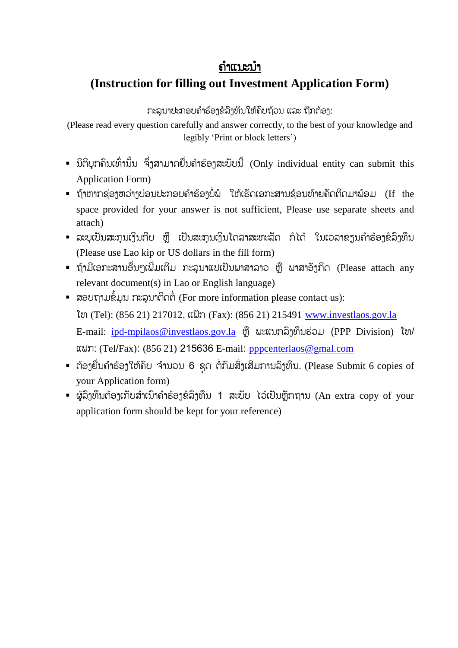## ຄຳແນະນຳ

## **(Instruction for filling out Investment Application Form)**

ກະລຸນາປະກອບຄຳຮ້ອງຂໍລິງທຶນໃຫ້ຄົບຖ້ວນ ແລະ ຖືກຕ້ອງ:

(Please read every question carefully and answer correctly, to the best of your knowledge and legibly 'Print or block letters')

- $\,$  ນິຕິບຸກຄິນເທົ່ານັ້ນ ຈຶ່ງສາມາດຍື່ນຄຳຮ້ອງສະບັບນີ້ (Only individual entity can submit this Application Form)
- ຖ້າຫາກຊ່ອງຫວ່າງບ່ອນປະກອບຄຳຮ້ອງບໍ່ພໍ່ ໃຫ້ເຮັດເອກະສານຊ້ອນທ້າຍຄັດຕິດມາພ້ອມ (If the space provided for your answer is not sufficient, Please use separate sheets and attach)
- ລະບຸເປັນສະກຸນເງິນກີບ ຫຼື ເປັນສະກຸນເງິນໂດລາສະຫະລັດ ກໍໄດ້ ໃນເວລາຂຽນຄຳຮ້ອງຂໍລິງທຶນ (Please use Lao kip or US dollars in the fill form)
- = ຖ້າມີເອກະສານອື່ນໆເພີ່ມເຕີມ ກະລນາແປເປັນພາສາລາວ ຫື ພາສາອັງກິດ (Please attach any relevant document(s) in Lao or English language)
- ສອບຖາມຂໍ້ມູນ ກະລຸນາຕິດຕໍ່ (For more information please contact us): ໂທ (Tel): (856 21) 217012, ແຟັກ (Fax): (856 21) 215491 [www.investlaos.gov.la](http://www.investlaos.gov.la/) E-mail: ipd-[mpilaos@investlaos.gov.la](mailto:ipd-mpilaos@investlaos.gov.la) ຫ ື ພະແນກລົງທຶນຮ່ວມ (PPP Division) ໂທ/ ແຟກ: (Tel/Fax): (856 21) 215636 E-mail: pppcenterlaos@gmal.com
- $\blacksquare$  ຕ້ອງຍື່ນຄຳຮ້ອງໃຫ້ຄືບ ຈຳນວນ 6 ຊຸດ ຕໍ່ກົມສິ່ງເສີມການລົງທຶນ. (Please Submit 6 copies of your Application form)
- ຜູ້ລິງທຶນຕ້ອງເກັບສຳເນົາຄຳຮ້ອງຂໍລິງທຶນ 1 ສະບັບ ໄວ້ເປັນຫຼັກຖານ (An extra copy of your application form should be kept for your reference)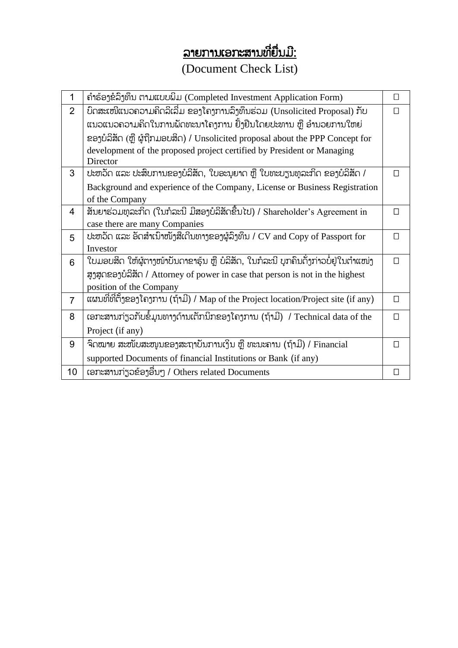# <u>ລາຍການເອກະສານທີ່ຍື່ນມີ:</u>

## (Document Check List)

| 1              | ຄຳຮ້ອງຂໍລິງທຶນ ຕາມແບບພິມ (Completed Investment Application Form)                    |        |  |  |  |
|----------------|-------------------------------------------------------------------------------------|--------|--|--|--|
| $\overline{2}$ | ບົດສະເໜີແນວຄວາມຄິດລິເລີ່ມ ຂອງໂຄງການລຶງທຶນຮ່ວມ (Unsolicited Proposal) ກັບ            |        |  |  |  |
|                | ແນວແນວຄວາມຄິດໃນການພັດທະນາໂຄງການ ຢັ້ງຢືນໂດຍປະທານ ຫຼື ອຳນວຍການໃຫຍ່                    |        |  |  |  |
|                | ຂອງບໍລິສັດ (ຫຼື ຜູ້ຖືກມອບສິດ) / Unsolicited proposal about the PPP Concept for      |        |  |  |  |
|                | development of the proposed project certified by President or Managing<br>Director  |        |  |  |  |
| 3              | ປະຫວັດ ແລະ ປະສິບການຂອງບໍລິສັດ, ໃບອະນຸຍາດ ຫຼື ໃບທະບຽນທຸລະກິດ ຂອງບໍລິສັດ /            | П      |  |  |  |
|                | Background and experience of the Company, License or Business Registration          |        |  |  |  |
|                | of the Company                                                                      |        |  |  |  |
| 4              | ສັນຍາຮ່ວມທຸລະກິດ (ໃນກໍລະນີ ມີສອງບໍລິສັດຂື້ນໄປ) / Shareholder's Agreement in         | П      |  |  |  |
|                | case there are many Companies                                                       |        |  |  |  |
| 5              | ປະຫວັດ ແລະ ອັດສຳເນົາໜັງສືເດີນທາງຂອງຜູ້ລົງທຶນ / CV and Copy of Passport for          | $\Box$ |  |  |  |
|                | Investor                                                                            |        |  |  |  |
| 6              | ໃບມອບສິດ ໃຫ້ຜູ້ຕາງໜ້າບັນດາຂາຮຸ້ນ ຫຼື ບໍລິສັດ, ໃນກໍລະນີ ບຸກຄົນດັ່ງກ່າວບໍ່ຢູ່ໃນຕຳແໜ່ງ | П      |  |  |  |
|                | ສູງສຸດຂອງບໍລິສັດ / Attorney of power in case that person is not in the highest      |        |  |  |  |
|                | position of the Company                                                             |        |  |  |  |
| $\overline{7}$ | ແຜນທີ່ທີ່ຕັ້ງຂອງໂຄງການ (ຖ້າມີ) / Map of the Project location/Project site (if any)  | $\Box$ |  |  |  |
| 8              | ເອກະສານກ່ຽວກັບຂໍ້ມູນທາງດ້ານເຕັກນິກຂອງໂຄງການ (ຖ້າມີ) / Technical data of the         | П      |  |  |  |
|                | Project (if any)                                                                    |        |  |  |  |
| 9              | ຈິດໝາຍ ສະໜັບສະໜຸນຂອງສະຖາບັນການເງິນ ຫຼື ທະນະຄານ (ຖ້າມີ) / Financial                  | П      |  |  |  |
|                | supported Documents of financial Institutions or Bank (if any)                      |        |  |  |  |
| 10             | ເອກະສານກ່ຽວຂ້ອງອື່ນໆ / Others related Documents                                     | П      |  |  |  |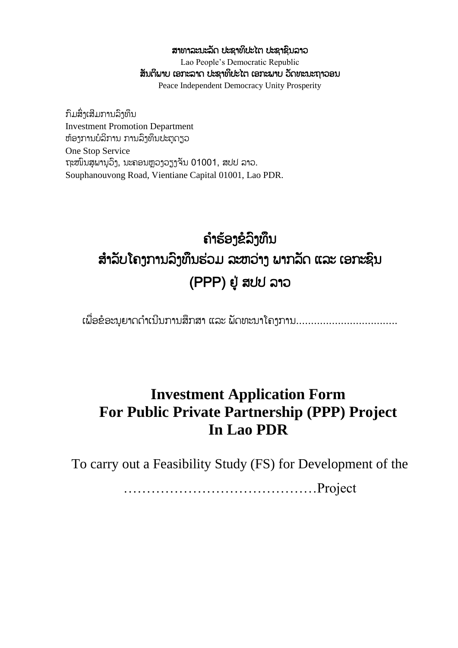#### ສາທາລະນະລັດ ປະຊາທິປະໄຕ ປະຊາຊິນລາວ

Lao People's Democratic Republic ສັນຕິພາບ ເອກະລາດ ປະຊາທິປະໄຕ ເອກະພາບ ວັດທະນະຖາວອນ Peace Independent Democracy Unity Prosperity

ກົມສົົ່ງເສີມກຳນລົງທຶນ Investment Promotion Department ຫຸ້ອງກຳນບໍລິກຳນ ກຳນລົງທຶນປະຕູດຽວ One Stop Service ຖະໜົນສູພານຸວິງ, ນະຄອນຫຼວງວຽງຈັນ 01001, ສປປ ລາວ. Souphanouvong Road, Vientiane Capital 01001, Lao PDR.

## ຄ ຳຮຸ້ອງຂໍລົງທຶນ ສຳລັບໂຄງການລົງທຶນຮ່ວມ ລະຫວ່າງ ພາກລັດ ແລະ ເອກະຊົນ (PPP) ຢູູ່ ສປປ ລຳວ

ເພື່ອຂໍອະນຸຍາດດຳເນີນການສຶກສາ ແລະ ພັດທະນາໂຄງການ...................................

## **Investment Application Form For Public Private Partnership (PPP) Project In Lao PDR**

To carry out a Feasibility Study (FS) for Development of the

……………………………………Project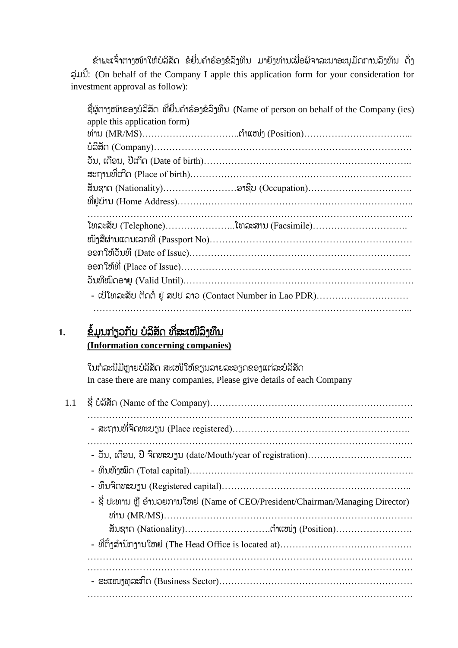ຂຳພະເຈົ້າຕາງໜ້າໃຫ້ບໍລິສັດ ຂໍຍື່ນຄຳຮ້ອງຂໍລິງທຶນ ມາຍ້າທ່ານເພື່ອພິຈາລະນາອະນມັດການລົງທຶນ ດັ່ງ ລ ່ມນີັ້: (On behalf of the Company I apple this application form for your consideration for investment approval as follow):

ຊື່ຜູ້ຕາງໜ້າຂອງບໍລິສັດ ທີ່ຍື່ນຄຳຮ້ອງຂໍລິງທຶນ (Name of person on behalf of the Company (ies) apple this application form) ທ່ຳນ (MR/MS)…………………………..ຕ ຳແໜ່ງ (Position)……………………………... ບໍລິສ ດ (Company)………………………………………………………………………… ວ ນ, ເດືອນ, ປີເກີດ (Date of birth)………………………………………………………….. ສະຖຳນທີຶ່ເກີດ (Place of birth)……………………………………………………………… ສ ນຊຳດ (Nationality)……………………ອຳຊີບ (Occupation)……………………………. ທີຶ່ຢູູ່ບຸ້ຳນ (Home Address)………………………………………………………………….. ……………………………………………………………………………………………. ໂທລະສ ບ (Telephone)…………………..ໂທລະສຳນ (Facsimile)…………………………. ໜ ງສືຜ່ຳນແດນເລກທີ (Passport No)………………………………………………………… ອອກໃຫຸ້ວ ນທີ (Date of Issue)……………………………………………………………… ອອກໃຫຸ້ທີຶ່ (Place of Issue)………………………………………………………………… ວ ນທີໝົດອຳຍ (Valid Until)………………………………………………………………… - ເບີໂທລະສັບ ຕິດຕໍ່ ຢູ່ ສປປ ລາວ (Contact Number in Lao PDR)………………………… …………………………………………………………………………………………..

#### 1. ຂໍ້ມູນກ່ຽວກັບ ບໍລິສັດ ທີ່ສະເໜີລິງທຶນ **(Information concerning companies)**

ໃນກໍລະນີມີຫຼາຍບໍລິສັດ ສະເໜີໃຫ້ຂຽນລາຍລະອຽດຂອງແຕ່ລະບໍລິສັດ In case there are many companies, Please give details of each Company

| 1.1 |                                                                                 |
|-----|---------------------------------------------------------------------------------|
|     |                                                                                 |
|     |                                                                                 |
|     |                                                                                 |
|     |                                                                                 |
|     | - ຊື່ ປະທານ ຫຼື ອຳນວຍການໃຫຍ່ (Name of CEO/President/Chairman/Managing Director) |
|     |                                                                                 |
|     |                                                                                 |
|     |                                                                                 |
|     |                                                                                 |
|     |                                                                                 |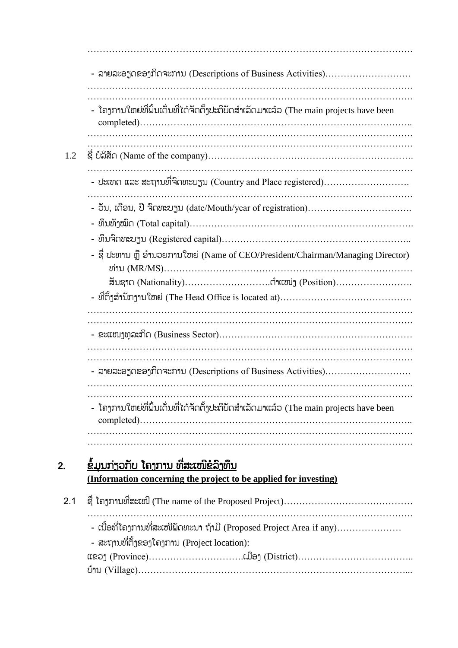……………………………………………………………………………………………. - ລຳຍລະອຽດຂອງກິດຈະກຳນ (Descriptions of Business Activities)………………………. ……………………………………………………………………………………………. ……………………………………………………………………………………………. - ໂຄງການໃຫຍ່ທີ່ຝົ່ນເດັ່ນທີ່ໄດ້ຈັດຕັ້ງປະຕິບັດສຳເລັດມາແລ້ວ (The main projects have been completed)…………………………………………………………………………….. ……………………………………………………………………………………………. ……………………………………………………………………………………………. 1.2 ຊືຶ່ ບໍລິສ ດ (Name of the company)…………………………………………………………. ……………………………………………………………………………………………. - ປະເທດ ແລະ ສະຖຳນທີຶ່ຈົດທະບຽນ (Country and Place registered)………………………. ……………………………………………………………………………………………. - ວ ນ, ເດືອນ, ປີ ຈົດທະບຽນ (date/Mouth/year of registration)……………………………. - ທຶນທ ງໝົດ (Total capital)………………………………………………………………. - ທຶນຈົດທະບຽນ (Registered capital)…………………………………………………….. - ຊື່ ປະທານ ຫຼື ອຳນວຍການໃຫຍ່ (Name of CEO/President/Chairman/Managing Director) ທ່ຳນ (MR/MS)……………………………………………………………………… ສ ນຊຳດ (Nationality)……………………….ຕ ຳແໜ່ງ (Position)……………………. - ທີ່ຕັ້ງສຳນັກງານໃຫຍ່ (The Head Office is located at)…………………………………… ……………………………………………………………………………………………. - ຂະແໜງທຸລະກິດ (Business Sector)……………………………………………………… ……………………………………………………………………………………………. - ລຳຍລະອຽດຂອງກິດຈະກຳນ (Descriptions of Business Activities)………………………. ……………………………………………………………………………………………. ……………………………………………………………………………………………. - ໂຄາການໃຫຍ່ທີ່ຝົ່ນເດັ່ນທີ່ໄດ້ຈັດຕັ້ງປະຕິບັດສຳເລັດມາແລ້ວ (The main projects have been completed)…………………………………………………………………………….. ……………………………………………………………………………………………. 2. <u>ຂໍ້ມູນກ່ຽວກັບ ໂຄງການ ທີ່ສະເໜີຂໍລິງ</u>ທຶນ **(Information concerning the project to be applied for investing)** 2.1  $\vec{z}$  ໂຄງການທີ່ສະເໜີ (The name of the Proposed Project)…………………………………… ……………………………………………………………………………………………. - ເນື້ອທີ່ໂຄງການທີ່ສະເໜີພັດທະນາ ຖ້າມີ (Proposed Project Area if any)………………… - ສະຖານທີ່ຕັ້ງຂອງໂຄງການ (Project location): ແຂວງ (Province)………………………….ເມືອງ (District)……………………………….. ບຸ້ຳນ (Village)……………………………………………………………………………...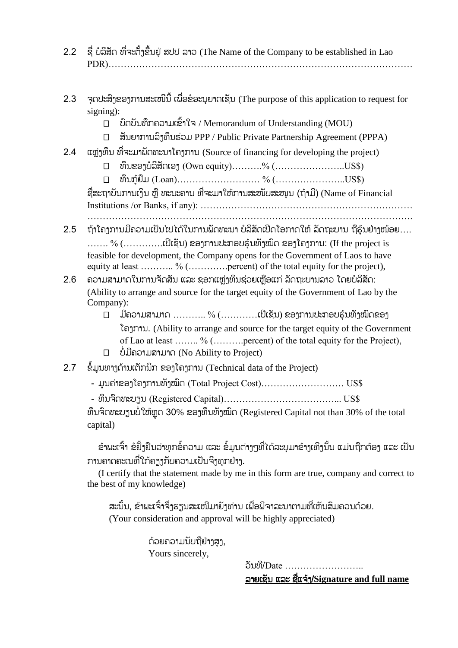- 2.2 ຊື່ ບໍລິສັດ ທີ່ຈະຕັ້ງຂື້ນຢ່ ສປປ ລາວ (The Name of the Company to be established in Lao PDR)………………………………………………………………………………………
- 2.3 ຈຸດປະສິງຂອງການສະເໜີນີ້ ເພື່ອຂໍອະນຍາດເຊັນ (The purpose of this application to request for signing):
	- ບົດບ ນທຶກຄວຳມເຂົັ້ຳໃຈ / Memorandum of Understanding (MOU)
	- ສ ນຍຳກຳນລົງທຶນຮ່ວມ PPP / Public Private Partnership Agreement (PPPA)
- 2.4  $\,$  ແຫຼ່ງທຶນ ທີ່ຈະມາພັດທະນາໂຄງການ (Source of financing for developing the project)
	- $□$  ທຶນຂອງບໍລິສັດເອງ (Own equity)……….% (……………………US\$)

ທຶນກູຸ້ຍືມ (Loan)……………………… % (…………………..US\$)

ຊື່ສະຖາບັນການເງິນ ຫື ທະນະຄານ ທີ່ຈະມາໃຫ້ການສະໜັບສະໜຸນ (ຖ້າມີ) (Name of Financial Institutions /or Banks, if any): ……………………………………………………………

…………………………………………………………………………………………….

- 2.5 ຖ້າໂຄາການມີຄວາມເປັນໄປໄດ້ໃນການພັດທະນາ ບໍລິສັດເປີດໂອກາດໃຫ້ ລັດຖະບານ ຖືຮຸ້ນຢ່າງໜ້ອຍ….  $\ldots$  %  $(\ldots, \ldots, \mathbb{C})$ ເຊັນ) ຂອງການປະກອບຮັນທັງໝົດ ຂອງໂຄງການ: (If the project is feasible for development, the Company opens for the Government of Laos to have equity at least ……….. % (…………...percent) of the total equity for the project),
- 2.6 ຄວາມສາມາດໃນການຈັດສັນ ແລະ ຊອກແຫຼ່ງທຶນຊ່ວຍເຫຼືອແກ່ ລັດຖະບານລາວ ໂດຍບໍລິສັດ: (Ability to arrange and source for the target equity of the Government of Lao by the Company):
	- $\Box$  ມີຄວາມສາມາດ ………… %  $(\ldots\dots\dots\dots$ ແປີເຊັນ) ຂອງການປະກອບຮຸ້ນທັງໝົດຂອງ ໂຄງກຳນ. (Ability to arrange and source for the target equity of the Government of Lao at least …….. % (……….percent) of the total equity for the Project),
	- ບໍໍ່ມີຄວຳມສຳມຳດ (No Ability to Project)
- 2.7 ຂໍ້ມູນທາງດ້ານເຕັກນິກ ຂອງໂຄງການ (Technical data of the Project)
	- ມູນຄ່າຂອງໂຄງການທັງໝົດ (Total Project  $Cost$ )…………………… US\$
	- ທຶນຈົດທະບຽນ (Registered Capital)………………………………... US\$

ທຶນຈິດທະບຽນບໍ່ໃຫ້ຫຼຸດ 30% ຂອງທຶນທັງໝົດ (Registered Capital not than 30% of the total capital)

ຂ້າພະເຈົ້າ ຂໍຢັ້ງຢືນວ່າທຸກຂໍ້ຄວາມ ແລະ ຂໍ້ມູນຕ່າງໆທີ່ໄດ້ລະບຸມາຂ້າງເທິງນັ້ນ ແມ່ນຖືກຕ້ອງ ແລະ ເປັນ ການຄາດຄະເນທີ່ໃກ້ຄຽງກັບຄວາມເປັນຈິງທຸກຢ່າງ.

(I certify that the statement made by me in this form are true, company and correct to the best of my knowledge)

ສະນັ້ນ, ຂ້າພະເຈົ້າຈຶ່ງຮຽນສະເໜີມາຍັງທ່ານ ເພື່ອພິຈາລະນາຕາມທີ່ເຫັນສິມຄວນດ້ວຍ. (Your consideration and approval will be highly appreciated)

> ດ້ວຍຄວາມນັບຖືຢ່າງສູງ, Yours sincerely,

ວ ນທີ/Date …………………….. ລຳຍເຊ ນ ແລະ ຊືຶ່ແຈຸ້ງ/**Signature and full name**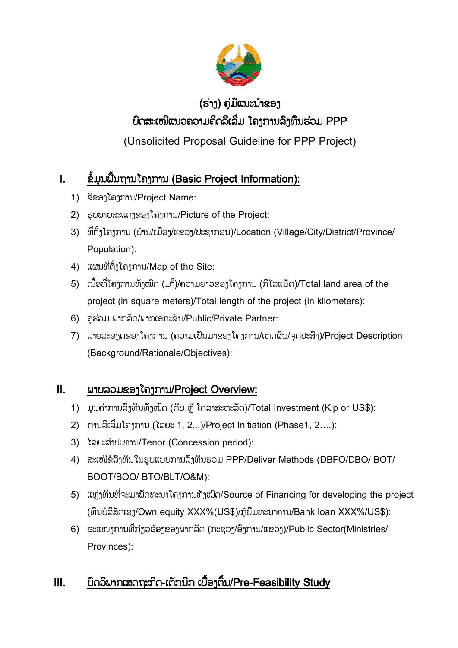

## (ຮ່າງ) ຄູ່ມືແນະນຳຂອງ ບົດສະເໜີແນວຄວຳມຄິດລິເລີຶ່ມ ໂຄງກຳນລົງທຶນຮ່ວມ PPP

(Unsolicited Proposal Guideline for PPP Project)

## I. ຂໍໍ້ມູນພືັ້ນຖຳນໂຄງກຳນ (Basic Project Information):

- 1) ຊືຶ່ຂອງໂຄງກຳນ/Project Name:
- 2) ຮູບພຳບສະແດງຂອງໂຄງກຳນ/Picture of the Project:
- 3) ທີ່ຕັ້ງໂຄງການ (ບ້ານ/ເມືອງ/ແຂວງ/ປະຊາກອນ)/Location (Village/City/District/Province/ Population):
- 4) ແຜນທີ່ຕັ້ງໂຄງການ/Map of the Site:
- 5) ເນື້ອທີ່ໂຄງການທັງໝົດ (ມ $^2$ )/ຄວາມຍາວຂອງໂຄງການ (ກິໂລແມັດ)/Total land area of the project (in square meters)/Total length of the project (in kilometers):
- 6) ຄ່ຮ່ວມ ພາກລັດ/ພາກເອກະຊິນ/Public/Private Partner:
- 7) ລາຍລະອຽດຂອງໂຄງການ (ຄວາມເປັນມາຂອງໂຄງການ/ເຫດຜົນ/ຈຸດປະສິງ)/Project Description (Background/Rationale/Objectives):

### II. ພຳບລວມຂອງໂຄງກຳນ/Project Overview:

- 1) ມູນຄ່າການລົງທຶນທັງໝົດ (ກີບ ຫຼື ໂດລາສະຫະລັດ)/Total Investment (Kip or US\$):
- 2) ກຳນລິເລີຶ່ມໂຄງກຳນ (ໄລຍະ 1, 2...)/Project Initiation (Phase1, 2….):
- 3) ໄລຍະສຳປະທານ/Tenor (Concession period):
- 4) ສະເໜີຂໍລົງທຶນໃນຮູບແບບກຳນລົງທຶນຮວມ PPP/Deliver Methods (DBFO/DBO/ BOT/ BOOT/BOO/ BTO/BLT/O&M):
- 5) ແຫຼ່ງທຶນທີ່ຈະມານັດທະນາໂຄງການທັງໝົດ/Source of Financing for developing the project (ທຶນບໍລິສ ດເອງ/Own equity XXX%(US\$)/ກູຸ້ຍືມທະນຳຄຳນ/Bank loan XXX%/US\$):
- $6)$  ຂະແໜງການທີ່ກ່ຽວຂ້ອງຂອງພາກລັດ (ກະຂວງ/ອົງການ/ແຂວງ)/Public Sector(Ministries/ Provinces):

## III. ບົດວິພາກເສດຖະກິດ-ເຕັກນິກ ເບື້ອງຕົ້ນ/Pre-Feasibility Study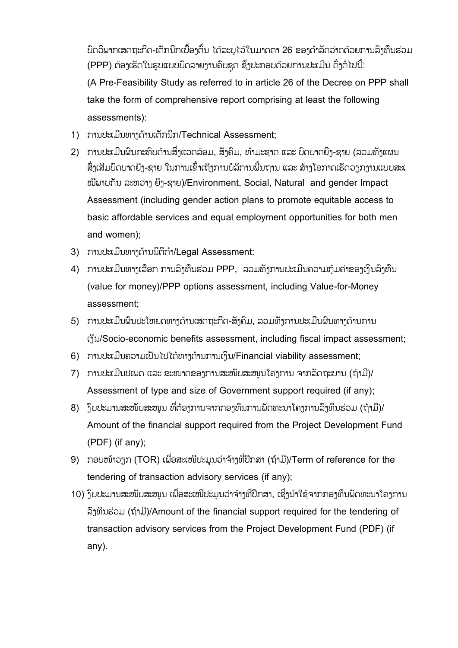ບົດວິພາກເສດຖະກິດ-ເຕັກນິກເບື້ອງຕົ້ນ ໄດ້ລະບໄວ້ໃນມາດຕາ 26 ຂອງດຳລັດວ່າດດ້ວຍການລົງທຶນຮ່ວມ (PPP) ຕ້ອງເຮັດໃນຮູບແບບບົດລາຍງານຄົບຊຸດ ຊຶ່ງປະກອບດ້ວຍການປະເມີນ ດັ່ງຕໍ່ໄປນີ້: (A Pre-Feasibility Study as referred to in article 26 of the Decree on PPP shall take the form of comprehensive report comprising at least the following assessments):

- 1) ການປະເມີນທາງດ້ານເຕັກນິກ/Technical Assessment;
- 2) ການປະເມີນຜິນກະທົບດ້ານສິ່ງແວດລ້ອມ, ສ້າຄົມ, ທຳມະຊາດ ແລະ ບົດບາດຍິງ-ຊາຍ (ລວມທັງແຜນ ສິ່ງເສີມບົດບາດຍີງ-ຊາຍ ໃນການເຂົ້າເຖິງການບໍລິການພື້ນຖານ ແລະ ສ້າງໂອກາດເຮັດວຽກງານແບບສະເ ໝີພາບກັນ ລະຫວ່າງ ຍິງ-ຊາຍ)/Environment, Social, Natural and gender Impact Assessment (including gender action plans to promote equitable access to basic affordable services and equal employment opportunities for both men and women);
- 3) ການປະເມີນທາງດ້ານນິຕິກຳ/Legal Assessment:
- 4) ການປະເມີນທາງເລືອກ ການລົງທຶນຮ່ວມ PPP, ລວມທັງການປະເມີນຄວາມກຸ້ມຄ່າຂອງເງິນລົງທຶນ (value for money)/PPP options assessment, including Value-for-Money assessment;
- 5) ການປະເມີນຜົນປະໂຫຍດທາງດ້ານເສດຖະກິດ-ສັງຄົມ, ລວມທັງການປະເມີນຜົນທາງດ້ານການ ເງິນ/Socio-economic benefits assessment, including fiscal impact assessment;
- 6) ກຳນປະເມີນຄວຳມເປັນໄປໄດຸ້ທຳງດຸ້ຳນກຳນເງິນ/Financial viability assessment;
- 7) ການປະເມີນປເພດ ແລະ ຂະໜາດຂອງການສະໜັບສະໜູນໂຄງການ ຈາກລັດຖະບານ (ຖ້າມີ)/ Assessment of type and size of Government support required (if any);
- 8) ີ້ງບປະມານສະໜັບສະໜູນ ທີ່ຕ້ອງການຈາກກອງທຶນການພັດທະນາໂຄງການລົງທຶນຮ່ວມ (ຖ້າມີ)/ Amount of the financial support required from the Project Development Fund (PDF) (if any);
- 9) ກອບໜຸ້ຳວຽກ (TOR) ເພືຶ່ອສະເໜີປະມູນວ່ຳຈຸ້ຳງທີຶ່ປຶກສຳ (ຖຸ້ຳມີ)/Term of reference for the tendering of transaction advisory services (if any);
- 10) ງິບປະມານສະໜັບສະໜຸນ ເພື່ອສະເໜີປະມຸນວ່າຈ້າງທີ່ປຶກສາ, ເຊີ່ງນຳໃຊ້ຈາກກອງທຶນພັດທະນາໂຄງການ ລົງທຶນຮ່ວມ (ຖຸ້ຳມີ)/Amount of the financial support required for the tendering of transaction advisory services from the Project Development Fund (PDF) (if any).